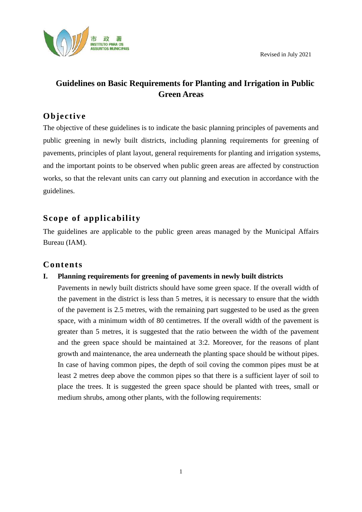

# **Guidelines on Basic Requirements for Planting and Irrigation in Public Green Areas**

## **Objective**

The objective of these guidelines is to indicate the basic planning principles of pavements and public greening in newly built districts, including planning requirements for greening of pavements, principles of plant layout, general requirements for planting and irrigation systems, and the important points to be observed when public green areas are affected by construction works, so that the relevant units can carry out planning and execution in accordance with the guidelines.

## **Scope of applicability**

The guidelines are applicable to the public green areas managed by the Municipal Affairs Bureau (IAM).

## **Contents**

### **I. Planning requirements for greening of pavements in newly built districts**

Pavements in newly built districts should have some green space. If the overall width of the pavement in the district is less than 5 metres, it is necessary to ensure that the width of the pavement is 2.5 metres, with the remaining part suggested to be used as the green space, with a minimum width of 80 centimetres. If the overall width of the pavement is greater than 5 metres, it is suggested that the ratio between the width of the pavement and the green space should be maintained at 3:2. Moreover, for the reasons of plant growth and maintenance, the area underneath the planting space should be without pipes. In case of having common pipes, the depth of soil coving the common pipes must be at least 2 metres deep above the common pipes so that there is a sufficient layer of soil to place the trees. It is suggested the green space should be planted with trees, small or medium shrubs, among other plants, with the following requirements: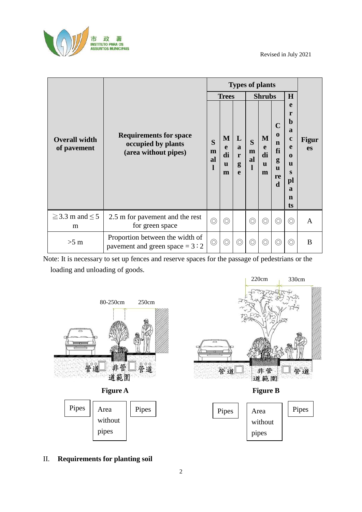

|                                     | <b>Requirements for space</b><br>occupied by plants<br>(area without pipes) | <b>Types of plants</b> |                                   |                                  |                   |                                   |                                                                             |                                                                                                                              |                           |
|-------------------------------------|-----------------------------------------------------------------------------|------------------------|-----------------------------------|----------------------------------|-------------------|-----------------------------------|-----------------------------------------------------------------------------|------------------------------------------------------------------------------------------------------------------------------|---------------------------|
|                                     |                                                                             | <b>Trees</b>           |                                   |                                  | <b>Shrubs</b>     |                                   |                                                                             | H                                                                                                                            |                           |
| <b>Overall width</b><br>of pavement |                                                                             | S<br>m<br>al<br>l      | M<br>e<br>di<br>$\mathbf{u}$<br>m | L<br>$\mathbf{a}$<br>r<br>g<br>e | S<br>m<br>al<br>1 | M<br>e<br>di<br>$\mathbf{u}$<br>m | $\mathbf C$<br>$\bf{0}$<br>n<br>fi<br>g<br>$\mathbf u$<br>re<br>$\mathbf d$ | e<br>r<br>$\mathbf b$<br>a<br>$\mathbf c$<br>e<br>$\mathbf 0$<br>$\mathbf{u}$<br>S<br>pl<br>$\mathbf a$<br>$\mathbf n$<br>ts | <b>Figur</b><br><b>es</b> |
| $\geq$ 3.3 m and $\leq$ 5<br>m      | 2.5 m for pavement and the rest<br>for green space                          | $\circledcirc$         | $\circledcirc$                    |                                  | $\circledcirc$    | $\circledcirc$                    | $\circledcirc$                                                              | $\circledcirc$                                                                                                               | A                         |
| $>5$ m                              | Proportion between the width of<br>pavement and green space = $3:2$         |                        | $\circledcirc$                    | $\circledcirc$                   | $\circledcirc$    | $\circledcirc$                    | $\circledcirc$                                                              | $\circledcirc$                                                                                                               | B                         |

Note: It is necessary to set up fences and reserve spaces for the passage of pedestrians or the loading and unloading of goods.







### II. **Requirements for planting soil**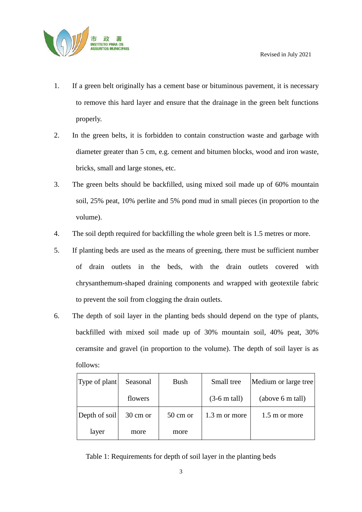

- 1. If a green belt originally has a cement base or bituminous pavement, it is necessary to remove this hard layer and ensure that the drainage in the green belt functions properly.
- 2. In the green belts, it is forbidden to contain construction waste and garbage with diameter greater than 5 cm, e.g. cement and bitumen blocks, wood and iron waste, bricks, small and large stones, etc.
- 3. The green belts should be backfilled, using mixed soil made up of 60% mountain soil, 25% peat, 10% perlite and 5% pond mud in small pieces (in proportion to the volume).
- 4. The soil depth required for backfilling the whole green belt is 1.5 metres or more.
- 5. If planting beds are used as the means of greening, there must be sufficient number of drain outlets in the beds, with the drain outlets covered with chrysanthemum-shaped draining components and wrapped with geotextile fabric to prevent the soil from clogging the drain outlets.
- 6. The depth of soil layer in the planting beds should depend on the type of plants, backfilled with mixed soil made up of 30% mountain soil, 40% peat, 30% ceramsite and gravel (in proportion to the volume). The depth of soil layer is as follows:

| Type of plant | Seasonal | <b>Bush</b>        | Small tree             | Medium or large tree |
|---------------|----------|--------------------|------------------------|----------------------|
|               | flowers  |                    | $(3-6 \text{ m tall})$ | (above 6 m tall)     |
| Depth of soil | 30 cm or | $50 \text{ cm}$ or | 1.3 m or more          | 1.5 m or more        |
| layer         | more     | more               |                        |                      |

Table 1: Requirements for depth of soil layer in the planting beds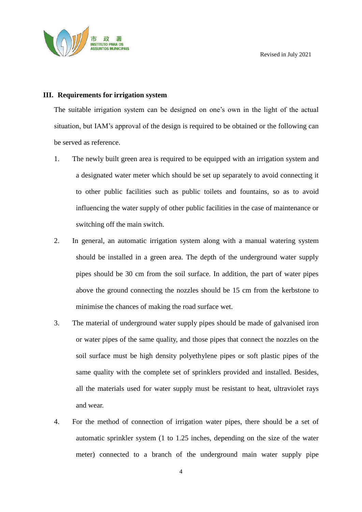

#### **III. Requirements for irrigation system**

The suitable irrigation system can be designed on one's own in the light of the actual situation, but IAM's approval of the design is required to be obtained or the following can be served as reference.

- 1. The newly built green area is required to be equipped with an irrigation system and a designated water meter which should be set up separately to avoid connecting it to other public facilities such as public toilets and fountains, so as to avoid influencing the water supply of other public facilities in the case of maintenance or switching off the main switch.
- 2. In general, an automatic irrigation system along with a manual watering system should be installed in a green area. The depth of the underground water supply pipes should be 30 cm from the soil surface. In addition, the part of water pipes above the ground connecting the nozzles should be 15 cm from the kerbstone to minimise the chances of making the road surface wet.
- 3. The material of underground water supply pipes should be made of galvanised iron or water pipes of the same quality, and those pipes that connect the nozzles on the soil surface must be high density polyethylene pipes or soft plastic pipes of the same quality with the complete set of sprinklers provided and installed. Besides, all the materials used for water supply must be resistant to heat, ultraviolet rays and wear.
- 4. For the method of connection of irrigation water pipes, there should be a set of automatic sprinkler system (1 to 1.25 inches, depending on the size of the water meter) connected to a branch of the underground main water supply pipe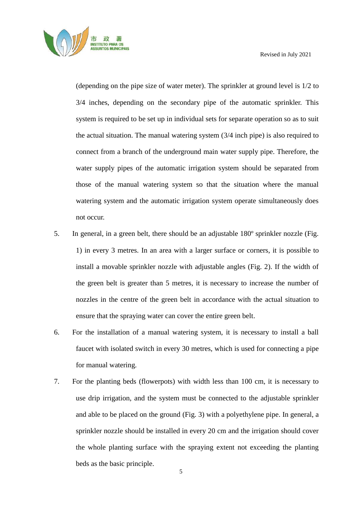

(depending on the pipe size of water meter). The sprinkler at ground level is 1/2 to 3/4 inches, depending on the secondary pipe of the automatic sprinkler. This system is required to be set up in individual sets for separate operation so as to suit the actual situation. The manual watering system (3/4 inch pipe) is also required to connect from a branch of the underground main water supply pipe. Therefore, the water supply pipes of the automatic irrigation system should be separated from those of the manual watering system so that the situation where the manual watering system and the automatic irrigation system operate simultaneously does not occur.

- 5. In general, in a green belt, there should be an adjustable 180º sprinkler nozzle (Fig. 1) in every 3 metres. In an area with a larger surface or corners, it is possible to install a movable sprinkler nozzle with adjustable angles (Fig. 2). If the width of the green belt is greater than 5 metres, it is necessary to increase the number of nozzles in the centre of the green belt in accordance with the actual situation to ensure that the spraying water can cover the entire green belt.
- 6. For the installation of a manual watering system, it is necessary to install a ball faucet with isolated switch in every 30 metres, which is used for connecting a pipe for manual watering.
- 7. For the planting beds (flowerpots) with width less than 100 cm, it is necessary to use drip irrigation, and the system must be connected to the adjustable sprinkler and able to be placed on the ground (Fig. 3) with a polyethylene pipe. In general, a sprinkler nozzle should be installed in every 20 cm and the irrigation should cover the whole planting surface with the spraying extent not exceeding the planting beds as the basic principle.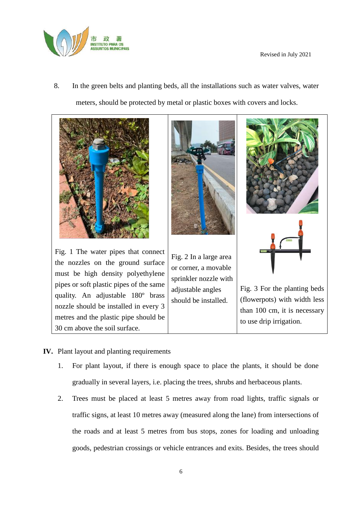

8. In the green belts and planting beds, all the installations such as water valves, water meters, should be protected by metal or plastic boxes with covers and locks.



- **IV.** Plant layout and planting requirements
	- 1. For plant layout, if there is enough space to place the plants, it should be done gradually in several layers, i.e. placing the trees, shrubs and herbaceous plants.
	- 2. Trees must be placed at least 5 metres away from road lights, traffic signals or traffic signs, at least 10 metres away (measured along the lane) from intersections of the roads and at least 5 metres from bus stops, zones for loading and unloading goods, pedestrian crossings or vehicle entrances and exits. Besides, the trees should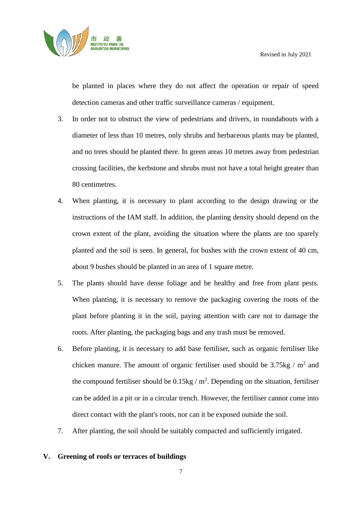

be planted in places where they do not affect the operation or repair of speed detection cameras and other traffic surveillance cameras / equipment.

- 3. In order not to obstruct the view of pedestrians and drivers, in roundabouts with a diameter of less than 10 metres, only shrubs and herbaceous plants may be planted, and no trees should be planted there. In green areas 10 metres away from pedestrian crossing facilities, the kerbstone and shrubs must not have a total height greater than 80 centimetres.
- 4. When planting, it is necessary to plant according to the design drawing or the instructions of the IAM staff. In addition, the planting density should depend on the crown extent of the plant, avoiding the situation where the plants are too sparely planted and the soil is seen. In general, for bushes with the crown extent of 40 cm, about 9 bushes should be planted in an area of 1 square metre.
- 5. The plants should have dense foliage and be healthy and free from plant pests. When planting, it is necessary to remove the packaging covering the roots of the plant before planting it in the soil, paying attention with care not to damage the roots. After planting, the packaging bags and any trash must be removed.
- 6. Before planting, it is necessary to add base fertiliser, such as organic fertiliser like chicken manure. The amount of organic fertiliser used should be  $3.75$ kg / m<sup>2</sup> and the compound fertiliser should be  $0.15\text{kg}/\text{m}^2$ . Depending on the situation, fertiliser can be added in a pit or in a circular trench. However, the fertiliser cannot come into direct contact with the plant's roots, nor can it be exposed outside the soil.
- 7. After planting, the soil should be suitably compacted and sufficiently irrigated.

### **V. Greening of roofs or terraces of buildings**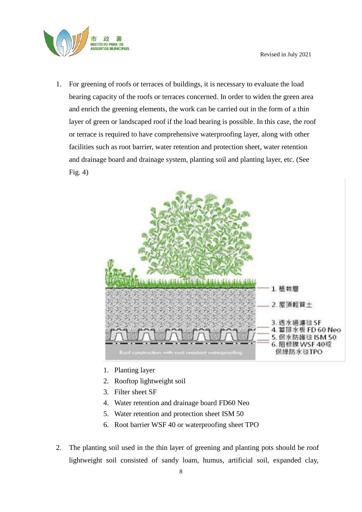

1. For greening of roofs or terraces of buildings, it is necessary to evaluate the load bearing capacity of the roofs or terraces concerned. In order to widen the green area and enrich the greening elements, the work can be carried out in the form of a thin layer of green or landscaped roof if the load bearing is possible. In this case, the roof or terrace is required to have comprehensive waterproofing layer, along with other facilities such as root barrier, water retention and protection sheet, water retention and drainage board and drainage system, planting soil and planting layer, etc. (See Fig. 4)



- 1. Planting layer
- 2. Rooftop lightweight soil
- 3. Filter sheet SF
- 4. Water retention and drainage board FD60 Neo
- 5. Water retention and protection sheet ISM 50
- 6. Root barrier WSF 40 or waterproofing sheet TPO
- 2. The planting soil used in the thin layer of greening and planting pots should be roof lightweight soil consisted of sandy loam, humus, artificial soil, expanded clay,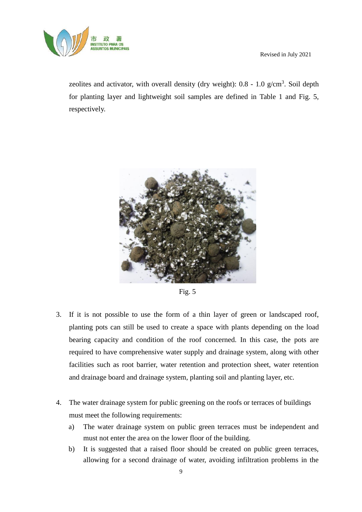

zeolites and activator, with overall density (dry weight):  $0.8 - 1.0$  g/cm<sup>3</sup>. Soil depth for planting layer and lightweight soil samples are defined in Table 1 and Fig. 5, respectively.



Fig. 5

- 3. If it is not possible to use the form of a thin layer of green or landscaped roof, planting pots can still be used to create a space with plants depending on the load bearing capacity and condition of the roof concerned. In this case, the pots are required to have comprehensive water supply and drainage system, along with other facilities such as root barrier, water retention and protection sheet, water retention and drainage board and drainage system, planting soil and planting layer, etc.
- 4. The water drainage system for public greening on the roofs or terraces of buildings must meet the following requirements:
	- a) The water drainage system on public green terraces must be independent and must not enter the area on the lower floor of the building.
	- b) It is suggested that a raised floor should be created on public green terraces, allowing for a second drainage of water, avoiding infiltration problems in the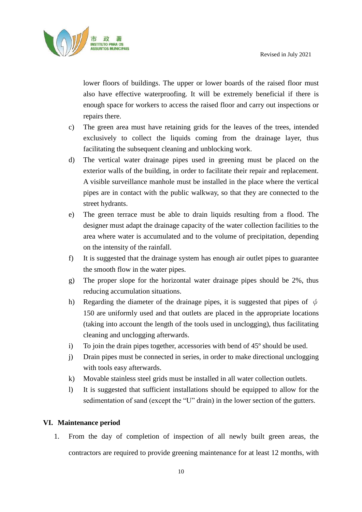

lower floors of buildings. The upper or lower boards of the raised floor must also have effective waterproofing. It will be extremely beneficial if there is enough space for workers to access the raised floor and carry out inspections or repairs there.

- c) The green area must have retaining grids for the leaves of the trees, intended exclusively to collect the liquids coming from the drainage layer, thus facilitating the subsequent cleaning and unblocking work.
- d) The vertical water drainage pipes used in greening must be placed on the exterior walls of the building, in order to facilitate their repair and replacement. A visible surveillance manhole must be installed in the place where the vertical pipes are in contact with the public walkway, so that they are connected to the street hydrants.
- e) The green terrace must be able to drain liquids resulting from a flood. The designer must adapt the drainage capacity of the water collection facilities to the area where water is accumulated and to the volume of precipitation, depending on the intensity of the rainfall.
- f) It is suggested that the drainage system has enough air outlet pipes to guarantee the smooth flow in the water pipes.
- g) The proper slope for the horizontal water drainage pipes should be 2%, thus reducing accumulation situations.
- h) Regarding the diameter of the drainage pipes, it is suggested that pipes of  $\phi$ 150 are uniformly used and that outlets are placed in the appropriate locations (taking into account the length of the tools used in unclogging), thus facilitating cleaning and unclogging afterwards.
- i) To join the drain pipes together, accessories with bend of 45º should be used.
- j) Drain pipes must be connected in series, in order to make directional unclogging with tools easy afterwards.
- k) Movable stainless steel grids must be installed in all water collection outlets.
- l) It is suggested that sufficient installations should be equipped to allow for the sedimentation of sand (except the "U" drain) in the lower section of the gutters.

### **VI. Maintenance period**

1. From the day of completion of inspection of all newly built green areas, the contractors are required to provide greening maintenance for at least 12 months, with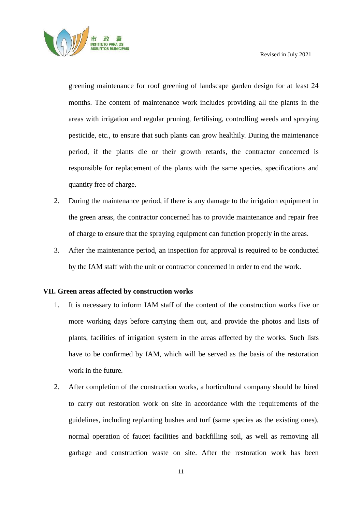

greening maintenance for roof greening of landscape garden design for at least 24 months. The content of maintenance work includes providing all the plants in the areas with irrigation and regular pruning, fertilising, controlling weeds and spraying pesticide, etc., to ensure that such plants can grow healthily. During the maintenance period, if the plants die or their growth retards, the contractor concerned is responsible for replacement of the plants with the same species, specifications and quantity free of charge.

- 2. During the maintenance period, if there is any damage to the irrigation equipment in the green areas, the contractor concerned has to provide maintenance and repair free of charge to ensure that the spraying equipment can function properly in the areas.
- 3. After the maintenance period, an inspection for approval is required to be conducted by the IAM staff with the unit or contractor concerned in order to end the work.

### **VII. Green areas affected by construction works**

- 1. It is necessary to inform IAM staff of the content of the construction works five or more working days before carrying them out, and provide the photos and lists of plants, facilities of irrigation system in the areas affected by the works. Such lists have to be confirmed by IAM, which will be served as the basis of the restoration work in the future.
- 2. After completion of the construction works, a horticultural company should be hired to carry out restoration work on site in accordance with the requirements of the guidelines, including replanting bushes and turf (same species as the existing ones), normal operation of faucet facilities and backfilling soil, as well as removing all garbage and construction waste on site. After the restoration work has been